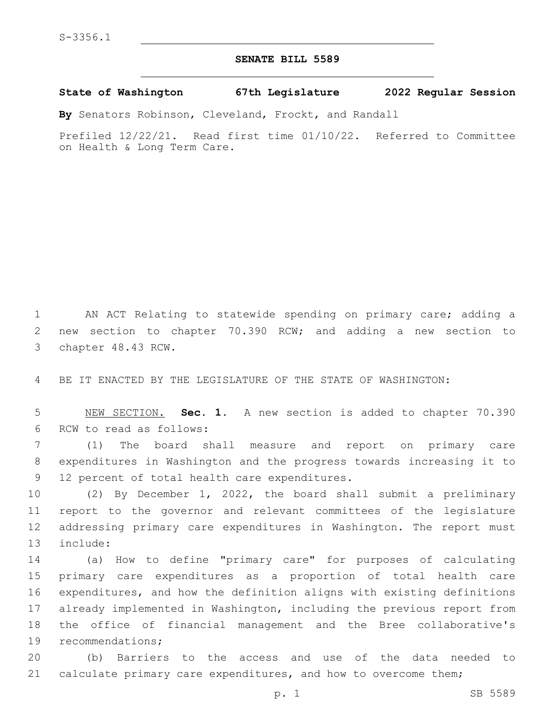## **SENATE BILL 5589**

## **State of Washington 67th Legislature 2022 Regular Session**

**By** Senators Robinson, Cleveland, Frockt, and Randall

Prefiled 12/22/21. Read first time 01/10/22. Referred to Committee on Health & Long Term Care.

1 AN ACT Relating to statewide spending on primary care; adding a 2 new section to chapter 70.390 RCW; and adding a new section to 3 chapter 48.43 RCW.

4 BE IT ENACTED BY THE LEGISLATURE OF THE STATE OF WASHINGTON:

5 NEW SECTION. **Sec. 1.** A new section is added to chapter 70.390 6 RCW to read as follows:

7 (1) The board shall measure and report on primary care 8 expenditures in Washington and the progress towards increasing it to 9 12 percent of total health care expenditures.

 (2) By December 1, 2022, the board shall submit a preliminary report to the governor and relevant committees of the legislature addressing primary care expenditures in Washington. The report must 13 include:

 (a) How to define "primary care" for purposes of calculating primary care expenditures as a proportion of total health care expenditures, and how the definition aligns with existing definitions already implemented in Washington, including the previous report from the office of financial management and the Bree collaborative's 19 recommendations;

20 (b) Barriers to the access and use of the data needed to 21 calculate primary care expenditures, and how to overcome them;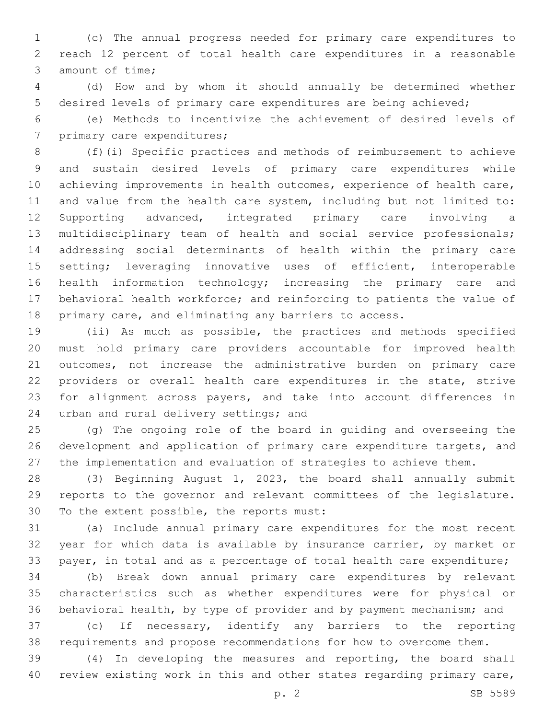(c) The annual progress needed for primary care expenditures to reach 12 percent of total health care expenditures in a reasonable 3 amount of time;

 (d) How and by whom it should annually be determined whether desired levels of primary care expenditures are being achieved;

 (e) Methods to incentivize the achievement of desired levels of 7 primary care expenditures;

 (f)(i) Specific practices and methods of reimbursement to achieve and sustain desired levels of primary care expenditures while achieving improvements in health outcomes, experience of health care, and value from the health care system, including but not limited to: Supporting advanced, integrated primary care involving a multidisciplinary team of health and social service professionals; addressing social determinants of health within the primary care 15 setting; leveraging innovative uses of efficient, interoperable health information technology; increasing the primary care and behavioral health workforce; and reinforcing to patients the value of primary care, and eliminating any barriers to access.

 (ii) As much as possible, the practices and methods specified must hold primary care providers accountable for improved health outcomes, not increase the administrative burden on primary care providers or overall health care expenditures in the state, strive for alignment across payers, and take into account differences in 24 urban and rural delivery settings; and

 (g) The ongoing role of the board in guiding and overseeing the development and application of primary care expenditure targets, and the implementation and evaluation of strategies to achieve them.

 (3) Beginning August 1, 2023, the board shall annually submit reports to the governor and relevant committees of the legislature. 30 To the extent possible, the reports must:

 (a) Include annual primary care expenditures for the most recent year for which data is available by insurance carrier, by market or 33 payer, in total and as a percentage of total health care expenditure;

 (b) Break down annual primary care expenditures by relevant characteristics such as whether expenditures were for physical or behavioral health, by type of provider and by payment mechanism; and

 (c) If necessary, identify any barriers to the reporting requirements and propose recommendations for how to overcome them.

 (4) In developing the measures and reporting, the board shall review existing work in this and other states regarding primary care,

p. 2 SB 5589